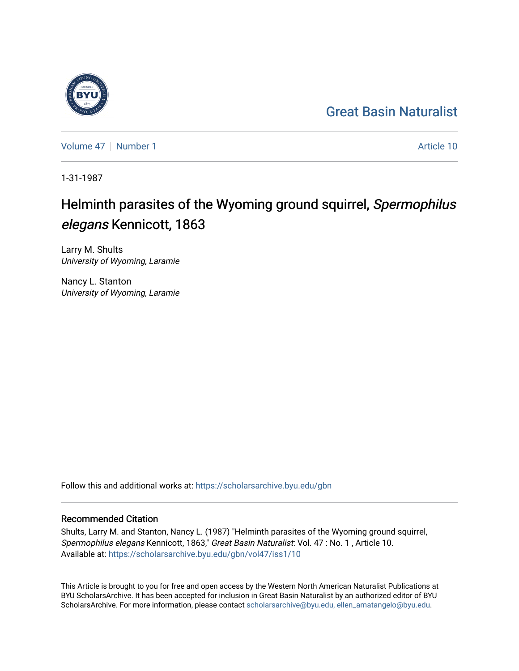## [Great Basin Naturalist](https://scholarsarchive.byu.edu/gbn)

[Volume 47](https://scholarsarchive.byu.edu/gbn/vol47) | [Number 1](https://scholarsarchive.byu.edu/gbn/vol47/iss1) Article 10

1-31-1987

# Helminth parasites of the Wyoming ground squirrel, Spermophilus elegans Kennicott, 1863

Larry M. Shults University of Wyoming, Laramie

Nancy L. Stanton University of Wyoming, Laramie

Follow this and additional works at: [https://scholarsarchive.byu.edu/gbn](https://scholarsarchive.byu.edu/gbn?utm_source=scholarsarchive.byu.edu%2Fgbn%2Fvol47%2Fiss1%2F10&utm_medium=PDF&utm_campaign=PDFCoverPages) 

### Recommended Citation

Shults, Larry M. and Stanton, Nancy L. (1987) "Helminth parasites of the Wyoming ground squirrel, Spermophilus elegans Kennicott, 1863," Great Basin Naturalist: Vol. 47 : No. 1 , Article 10. Available at: [https://scholarsarchive.byu.edu/gbn/vol47/iss1/10](https://scholarsarchive.byu.edu/gbn/vol47/iss1/10?utm_source=scholarsarchive.byu.edu%2Fgbn%2Fvol47%2Fiss1%2F10&utm_medium=PDF&utm_campaign=PDFCoverPages) 

This Article is brought to you for free and open access by the Western North American Naturalist Publications at BYU ScholarsArchive. It has been accepted for inclusion in Great Basin Naturalist by an authorized editor of BYU ScholarsArchive. For more information, please contact [scholarsarchive@byu.edu, ellen\\_amatangelo@byu.edu.](mailto:scholarsarchive@byu.edu,%20ellen_amatangelo@byu.edu)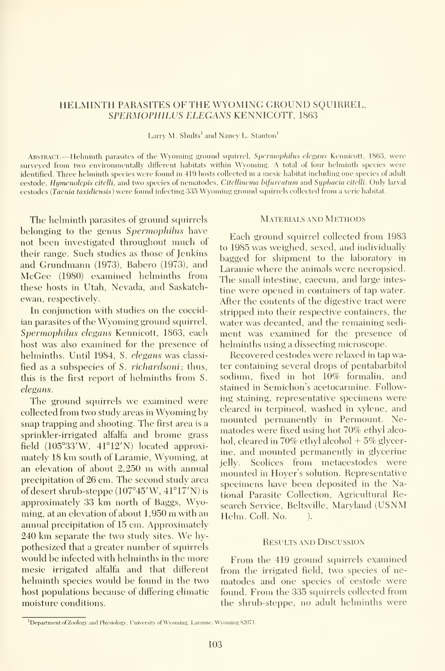#### HELMINTH PARASITES OF THE WYOMING GROUND SQUIRREL, SPERMOPHILUS ELEGANS KENNICOTT, <sup>1863</sup>

Larry M. Shults' and Nancy L. Stanton'

ABSTRACT. - Helminth parasites of the Wyoming ground squirrel, Spermophilus elegans Kennicott, 1863, were surveyed from two environmentally different habitats within Wyoming. A total of four helminth species were identified. Three helminth species were found in 419 hosts collected in a mesic habitat including one species of adult cestode, Humenolepis citelli, and two species of nematodes, Citellinema bifurcatum and Syphacia citelli. Only larval cestodes {Taenia taxidiensis) were found infecting 335 Wyoming ground squirrels collected from <sup>a</sup> xeric habitat.

The helminth parasites of ground squirrels belonging to the genus Spermophilus have not been investigated throughout much of their range. Such studies as those of Jenkins and Grundmann (1973), Babero (1973), and McGee (1980) examined helminths from these hosts in Utah, Nevada, and Saskatch ewan, respectively.

In conjunction with studies on the coccidian parasites of the Wyoming ground squirrel, Spermophilus elegans Kennicott, 1863, each host was also examined for the presence of helminths. Until 1984, S. elegans was classified as a subspecies of S. *richardsoni*; thus, this is the first report of helminths from S. elegans.

The ground squirrels we examined were collected from two study areas in Wyoming by snap trapping and shooting. The first area is a sprinkler-irrigated alfalfa and brome grass field  $(105°33'W, 41°12'N)$  located approximately <sup>18</sup> km south of Laramie, Wyoming, at an elevation of about 2,250 m with annual precipitation of 26 cm. The second study area of desert shrub-steppe (107°45'W, 41°17'N) isapproximately 33 km north of Baggs, Wyoming, at an elevation of about 1,950 m with an annual precipitation of 15 cm. Approximately <sup>240</sup> km separate the two study sites. We hypothesized that a greater number of squirrels would be infected with helminths in the more mesic irrigated alfalfa and that different helminth species would be found in the two host populations because of differing climatic moisture conditions.

#### Materials and Methods

Each ground squirrel collected from 1983 to 1985 was weighed, sexed, and individually bagged for shipment to the laboratory in Laramie where the animals were necropsied. The small intestine, caecum, and large intes tine were opened in containers of tap water. After the contents of the digestive tract were stripped into their respective containers, the water was decanted, and the remaining sedi ment was examined for the presence of helminths using a dissecting microscope.

Recovered cestodes were relaxed in tap water containing several drops of pentabarbitol sodium, fixed in hot 10% formalin, and stained in Semichon's acetocarmine. Following staining, representative specimens were cleared in terpineol, washed in xylene, and mounted permanently in Permount. Nematodes were fixed using hot 70% ethyl alcohol, cleared in 70% ethyl alcohol  $+5\%$  glycerine, and mounted permanently in glycerine jelly. Scolices from metacestodes were mounted in Hoyer's solution. Representative specimens have been deposited in the National Parasite Collection, Agricultural Research Service, Beltsville, Maryland (USNM Helm. Coll. No. (b).

#### Results and Discussion

From the 419 ground squirrels examined from the irrigated field, two species of ne matodes and one species of cestode were found. From the 335 squirrels collected from the shrub-steppe, no adult helminths were

<sup>&#</sup>x27;Department of Zoology and Physiology. University of Wyoming, Laramie, Wyoming S2071.